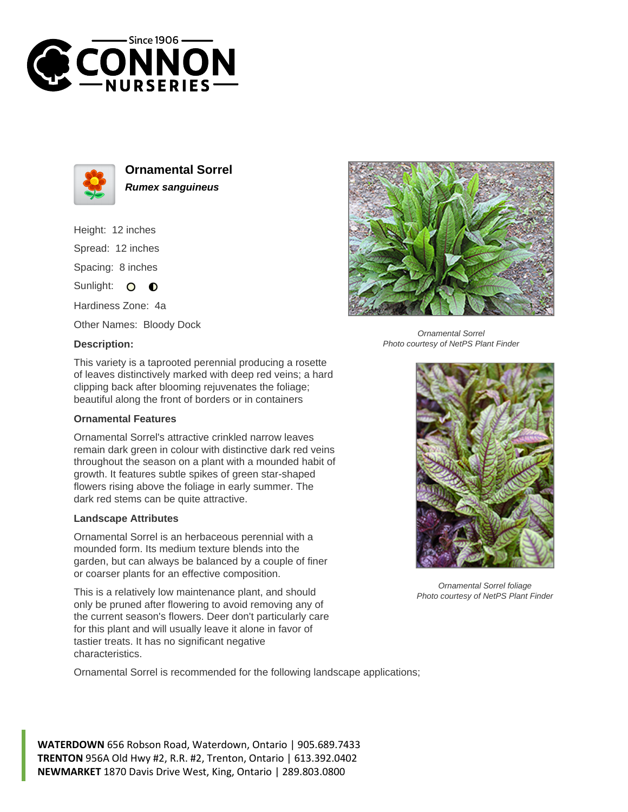



**Ornamental Sorrel Rumex sanguineus**

Height: 12 inches Spread: 12 inches Spacing: 8 inches Sunlight: O **O** Hardiness Zone: 4a

Other Names: Bloody Dock

## **Description:**



Ornamental Sorrel Photo courtesy of NetPS Plant Finder

This variety is a taprooted perennial producing a rosette of leaves distinctively marked with deep red veins; a hard clipping back after blooming rejuvenates the foliage; beautiful along the front of borders or in containers

## **Ornamental Features**

Ornamental Sorrel's attractive crinkled narrow leaves remain dark green in colour with distinctive dark red veins throughout the season on a plant with a mounded habit of growth. It features subtle spikes of green star-shaped flowers rising above the foliage in early summer. The dark red stems can be quite attractive.

## **Landscape Attributes**

Ornamental Sorrel is an herbaceous perennial with a mounded form. Its medium texture blends into the garden, but can always be balanced by a couple of finer or coarser plants for an effective composition.

This is a relatively low maintenance plant, and should only be pruned after flowering to avoid removing any of the current season's flowers. Deer don't particularly care for this plant and will usually leave it alone in favor of tastier treats. It has no significant negative characteristics.

Ornamental Sorrel is recommended for the following landscape applications;

**WATERDOWN** 656 Robson Road, Waterdown, Ontario | 905.689.7433 **TRENTON** 956A Old Hwy #2, R.R. #2, Trenton, Ontario | 613.392.0402 **NEWMARKET** 1870 Davis Drive West, King, Ontario | 289.803.0800



Ornamental Sorrel foliage Photo courtesy of NetPS Plant Finder